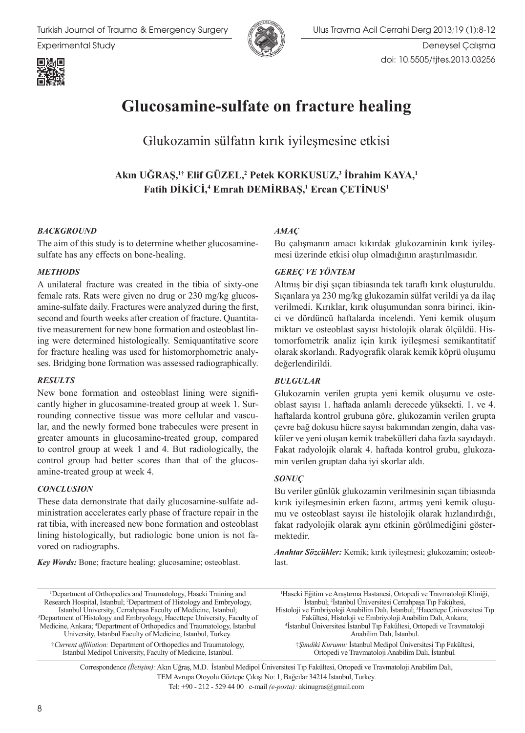

Experimental Study Deneysel Çalışma doi: 10.5505/tjtes.2013.03256



Glukozamin sülfatın kırık iyileşmesine etkisi

**Akın UĞRAŞ,1† Elif GÜZEL,<sup>2</sup> Petek KORKUSUZ,<sup>3</sup> İbrahim KAYA,<sup>1</sup> Fatih DİKİCİ,<sup>4</sup> Emrah DEMİRBAŞ,<sup>1</sup> Ercan ÇETİNUS<sup>1</sup>**

### *BACKGROUND*

The aim of this study is to determine whether glucosaminesulfate has any effects on bone-healing.

#### *METHODS*

A unilateral fracture was created in the tibia of sixty-one female rats. Rats were given no drug or 230 mg/kg glucosamine-sulfate daily. Fractures were analyzed during the first, second and fourth weeks after creation of fracture. Quantitative measurement for new bone formation and osteoblast lining were determined histologically. Semiquantitative score for fracture healing was used for histomorphometric analyses. Bridging bone formation was assessed radiographically.

### *RESULTS*

New bone formation and osteoblast lining were significantly higher in glucosamine-treated group at week 1. Surrounding connective tissue was more cellular and vascular, and the newly formed bone trabecules were present in greater amounts in glucosamine-treated group, compared to control group at week 1 and 4. But radiologically, the control group had better scores than that of the glucosamine-treated group at week 4.

### *CONCLUSION*

These data demonstrate that daily glucosamine-sulfate administration accelerates early phase of fracture repair in the rat tibia, with increased new bone formation and osteoblast lining histologically, but radiologic bone union is not favored on radiographs.

*Key Words:* Bone; fracture healing; glucosamine; osteoblast.

### *AMAÇ*

Bu çalışmanın amacı kıkırdak glukozaminin kırık iyileşmesi üzerinde etkisi olup olmadığının araştırılmasıdır.

### *GEREÇ VE YÖNTEM*

Altmış bir dişi şıçan tibiasında tek taraflı kırık oluşturuldu. Sıçanlara ya 230 mg/kg glukozamin sülfat verildi ya da ilaç verilmedi. Kırıklar, kırık oluşumundan sonra birinci, ikinci ve dördüncü haftalarda incelendi. Yeni kemik oluşum miktarı ve osteoblast sayısı histolojik olarak ölçüldü. Histomorfometrik analiz için kırık iyileşmesi semikantitatif olarak skorlandı. Radyografik olarak kemik köprü oluşumu değerlendirildi.

### *BULGULAR*

Glukozamin verilen grupta yeni kemik oluşumu ve osteoblast sayısı 1. haftada anlamlı derecede yüksekti. 1. ve 4. haftalarda kontrol grubuna göre, glukozamin verilen grupta çevre bağ dokusu hücre sayısı bakımından zengin, daha vasküler ve yeni oluşan kemik trabekülleri daha fazla sayıdaydı. Fakat radyolojik olarak 4. haftada kontrol grubu, glukozamin verilen gruptan daha iyi skorlar aldı.

### *SONUÇ*

Bu veriler günlük glukozamin verilmesinin sıçan tibiasında kırık iyileşmesinin erken fazını, artmış yeni kemik oluşumu ve osteoblast sayısı ile histolojik olarak hızlandırdığı, fakat radyolojik olarak aynı etkinin görülmediğini göstermektedir.

*Anahtar Sözcükler:* Kemik; kırık iyileşmesi; glukozamin; osteoblast.

1 Department of Orthopedics and Traumatology, Haseki Training and Research Hospital, Istanbul; <sup>2</sup> Department of Histology and Embryology, Istanbul University, Cerrahpasa Faculty of Medicine, Istanbul; 3 Department of Histology and Embryology, Hacettepe University, Faculty of Medicine, Ankara; <sup>4</sup> Department of Orthopedics and Traumatology, Istanbul University, Istanbul Faculty of Medicine, Istanbul, Turkey. †*Current affiliation:* Department of Orthopedics and Traumatology, Istanbul Medipol University, Faculty of Medicine, Istanbul.

1 Haseki Eğitim ve Araştırma Hastanesi, Ortopedi ve Travmatoloji Kliniği, İstanbul; <sup>2</sup> İstanbul Üniversitesi Cerrahpaşa Tıp Fakültesi, Histoloji ve Embriyoloji Anabilim Dalı, İstanbul; <sup>3</sup> Hacettepe Üniversitesi Tıp Fakültesi, Histoloji ve Embriyoloji Anabilim Dalı, Ankara; 4 İstanbul Üniversitesi İstanbul Tıp Fakültesi, Ortopedi ve Travmatoloji Anabilim Dalı, İstanbul. †*Şimdiki Kurumu:* İstanbul Medipol Üniversitesi Tıp Fakültesi,

Ortopedi ve Travmatoloji Anabilim Dalı, İstanbul.

Correspondence *(İletişim):* Akın Uğraş, M.D. İstanbul Medipol Üniversitesi Tıp Fakültesi, Ortopedi ve Travmatoloji Anabilim Dalı, TEM Avrupa Otoyolu Göztepe Çıkışı No: 1, Bağcılar 34214 İstanbul, Turkey.

Tel: +90 - 212 - 529 44 00 e-mail *(e-posta):* akinugras@gmail.com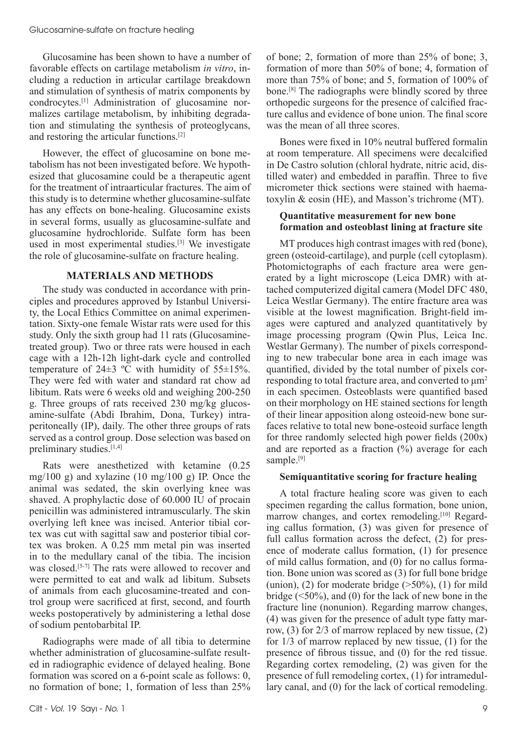Glucosamine has been shown to have a number of favorable effects on cartilage metabolism *in vitro*, including a reduction in articular cartilage breakdown and stimulation of synthesis of matrix components by condrocytes.[1] Administration of glucosamine normalizes cartilage metabolism, by inhibiting degradation and stimulating the synthesis of proteoglycans, and restoring the articular functions.[2]

However, the effect of glucosamine on bone metabolism has not been investigated before. We hypothesized that glucosamine could be a therapeutic agent for the treatment of intraarticular fractures. The aim of this study is to determine whether glucosamine-sulfate has any effects on bone-healing. Glucosamine exists in several forms, usually as glucosamine-sulfate and glucosamine hydrochloride. Sulfate form has been used in most experimental studies.[3] We investigate the role of glucosamine-sulfate on fracture healing.

# **MATERIALS AND METHODS**

The study was conducted in accordance with principles and procedures approved by Istanbul University, the Local Ethics Committee on animal experimentation. Sixty-one female Wistar rats were used for this study. Only the sixth group had 11 rats (Glucosaminetreated group). Two or three rats were housed in each cage with a 12h-12h light-dark cycle and controlled temperature of  $24\pm3$  °C with humidity of  $55\pm15\%$ . They were fed with water and standard rat chow ad libitum. Rats were 6 weeks old and weighing 200-250 g. Three groups of rats received 230 mg/kg glucosamine-sulfate (Abdi Ibrahim, Dona, Turkey) intraperitoneally (IP), daily. The other three groups of rats served as a control group. Dose selection was based on preliminary studies.<sup>[1,4]</sup>

Rats were anesthetized with ketamine (0.25 mg/100 g) and xylazine (10 mg/100 g) IP. Once the animal was sedated, the skin overlying knee was shaved. A prophylactic dose of 60.000 IU of procain penicillin was administered intramuscularly. The skin overlying left knee was incised. Anterior tibial cortex was cut with sagittal saw and posterior tibial cortex was broken. A 0.25 mm metal pin was inserted in to the medullary canal of the tibia. The incision was closed.<sup>[5-7]</sup> The rats were allowed to recover and were permitted to eat and walk ad libitum. Subsets of animals from each glucosamine-treated and control group were sacrificed at first, second, and fourth weeks postoperatively by administering a lethal dose of sodium pentobarbital IP.

Radiographs were made of all tibia to determine whether administration of glucosamine-sulfate resulted in radiographic evidence of delayed healing. Bone formation was scored on a 6-point scale as follows: 0, no formation of bone; 1, formation of less than 25%

of bone; 2, formation of more than 25% of bone; 3, formation of more than 50% of bone; 4, formation of more than 75% of bone; and 5, formation of 100% of bone.[8] The radiographs were blindly scored by three orthopedic surgeons for the presence of calcified fracture callus and evidence of bone union. The final score was the mean of all three scores.

Bones were fixed in 10% neutral buffered formalin at room temperature. All specimens were decalcified in De Castro solution (chloral hydrate, nitric acid, distilled water) and embedded in paraffin. Three to five micrometer thick sections were stained with haematoxylin & eosin (HE), and Masson's trichrome (MT).

## **Quantitative measurement for new bone formation and osteoblast lining at fracture site**

MT produces high contrast images with red (bone), green (osteoid-cartilage), and purple (cell cytoplasm). Photomictographs of each fracture area were generated by a light microscope (Leica DMR) with attached computerized digital camera (Model DFC 480, Leica Westlar Germany). The entire fracture area was visible at the lowest magnification. Bright-field images were captured and analyzed quantitatively by image processing program (Qwin Plus, Leica Inc. Westlar Germany). The number of pixels corresponding to new trabecular bone area in each image was quantified, divided by the total number of pixels corresponding to total fracture area, and converted to μm<sup>2</sup> in each specimen. Osteoblasts were quantified based on their morphology on HE stained sections for length of their linear apposition along osteoid-new bone surfaces relative to total new bone-osteoid surface length for three randomly selected high power fields (200x) and are reported as a fraction  $(\%)$  average for each sample.<sup>[9]</sup>

# **Semiquantitative scoring for fracture healing**

A total fracture healing score was given to each specimen regarding the callus formation, bone union, marrow changes, and cortex remodeling.<sup>[10]</sup> Regarding callus formation, (3) was given for presence of full callus formation across the defect, (2) for presence of moderate callus formation, (1) for presence of mild callus formation, and (0) for no callus formation. Bone union was scored as (3) for full bone bridge (union), (2) for moderate bridge  $($ >50%), (1) for mild bridge  $(\leq 50\%)$ , and (0) for the lack of new bone in the fracture line (nonunion). Regarding marrow changes, (4) was given for the presence of adult type fatty marrow, (3) for 2/3 of marrow replaced by new tissue, (2) for 1/3 of marrow replaced by new tissue, (1) for the presence of fibrous tissue, and (0) for the red tissue. Regarding cortex remodeling, (2) was given for the presence of full remodeling cortex, (1) for intramedullary canal, and (0) for the lack of cortical remodeling.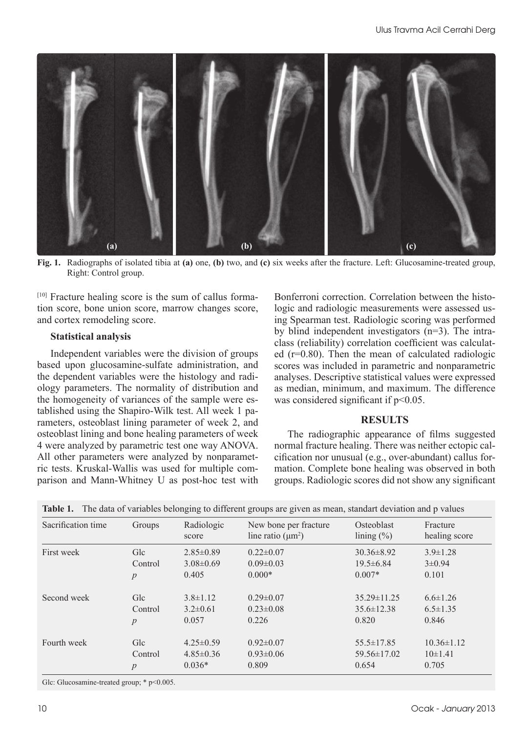

**Fig. 1.** Radiographs of isolated tibia at **(a)** one, **(b)** two, and **(c)** six weeks after the fracture. Left: Glucosamine-treated group, Right: Control group.

[10] Fracture healing score is the sum of callus formation score, bone union score, marrow changes score, and cortex remodeling score.

## **Statistical analysis**

Independent variables were the division of groups based upon glucosamine-sulfate administration, and the dependent variables were the histology and radiology parameters. The normality of distribution and the homogeneity of variances of the sample were established using the Shapiro-Wilk test. All week 1 parameters, osteoblast lining parameter of week 2, and osteoblast lining and bone healing parameters of week 4 were analyzed by parametric test one way ANOVA. All other parameters were analyzed by nonparametric tests. Kruskal-Wallis was used for multiple comparison and Mann-Whitney U as post-hoc test with

Bonferroni correction. Correlation between the histologic and radiologic measurements were assessed using Spearman test. Radiologic scoring was performed by blind independent investigators (n=3). The intraclass (reliability) correlation coefficient was calculated (r=0.80). Then the mean of calculated radiologic scores was included in parametric and nonparametric analyses. Descriptive statistical values were expressed as median, minimum, and maximum. The difference was considered significant if  $p<0.05$ .

# **RESULTS**

The radiographic appearance of films suggested normal fracture healing. There was neither ectopic calcification nor unusual (e.g., over-abundant) callus formation. Complete bone healing was observed in both groups. Radiologic scores did not show any significant

| Sacrification time | Groups  | Radiologic<br>score | New bone per fracture<br>line ratio $(\mu m^2)$ | Osteoblast<br>$\lim_{\infty}$ (%) | Fracture<br>healing score |
|--------------------|---------|---------------------|-------------------------------------------------|-----------------------------------|---------------------------|
| First week         | Glc     | $2.85 \pm 0.89$     | $0.22 \pm 0.07$                                 | $30.36 \pm 8.92$                  | $3.9 \pm 1.28$            |
|                    | Control | $3.08 \pm 0.69$     | $0.09 \pm 0.03$                                 | $19.5 \pm 6.84$                   | $3\pm0.94$                |
|                    | p       | 0.405               | $0.000*$                                        | $0.007*$                          | 0.101                     |
| Second week        | Glc     | $3.8 \pm 1.12$      | $0.29 \pm 0.07$                                 | $35.29 \pm 11.25$                 | $6.6 \pm 1.26$            |
|                    | Control | $3.2 \pm 0.61$      | $0.23 \pm 0.08$                                 | $35.6 \pm 12.38$                  | $6.5 \pm 1.35$            |
|                    | p       | 0.057               | 0.226                                           | 0.820                             | 0.846                     |
| Fourth week        | Glc     | $4.25 \pm 0.59$     | $0.92 \pm 0.07$                                 | $55.5 \pm 17.85$                  | $10.36 \pm 1.12$          |
|                    | Control | $4.85 \pm 0.36$     | $0.93 \pm 0.06$                                 | $59.56 \pm 17.02$                 | $10\pm1.41$               |
|                    | p       | $0.036*$            | 0.809                                           | 0.654                             | 0.705                     |

**Table 1.** The data of variables belonging to different groups are given as mean, standart deviation and p values

Glc: Glucosamine-treated group; \* p<0.005.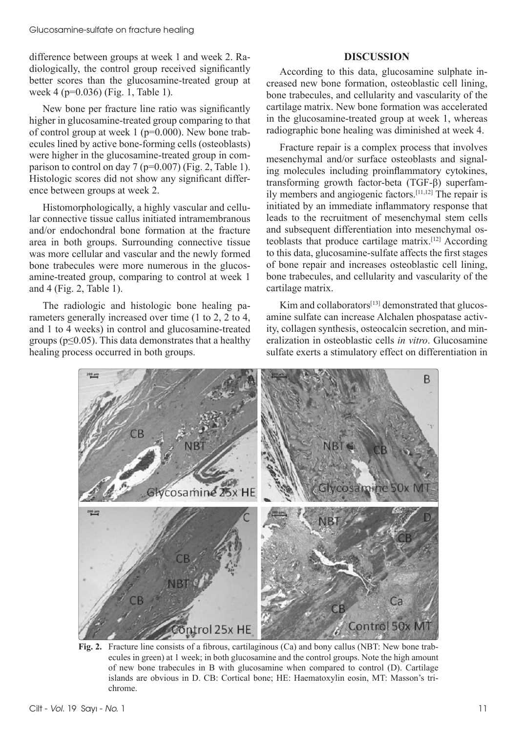difference between groups at week 1 and week 2. Radiologically, the control group received significantly better scores than the glucosamine-treated group at week 4 (p=0.036) (Fig. 1, Table 1).

New bone per fracture line ratio was significantly higher in glucosamine-treated group comparing to that of control group at week  $1$  ( $p=0.000$ ). New bone trabecules lined by active bone-forming cells (osteoblasts) were higher in the glucosamine-treated group in comparison to control on day  $7$  (p=0.007) (Fig. 2, Table 1). Histologic scores did not show any significant difference between groups at week 2.

Histomorphologically, a highly vascular and cellular connective tissue callus initiated intramembranous and/or endochondral bone formation at the fracture area in both groups. Surrounding connective tissue was more cellular and vascular and the newly formed bone trabecules were more numerous in the glucosamine-treated group, comparing to control at week 1 and 4 (Fig. 2, Table 1).

The radiologic and histologic bone healing parameters generally increased over time (1 to 2, 2 to 4, and 1 to 4 weeks) in control and glucosamine-treated groups ( $p \leq 0.05$ ). This data demonstrates that a healthy healing process occurred in both groups.

# **DISCUSSION**

According to this data, glucosamine sulphate increased new bone formation, osteoblastic cell lining, bone trabecules, and cellularity and vascularity of the cartilage matrix. New bone formation was accelerated in the glucosamine-treated group at week 1, whereas radiographic bone healing was diminished at week 4.

Fracture repair is a complex process that involves mesenchymal and/or surface osteoblasts and signaling molecules including proinflammatory cytokines, transforming growth factor-beta (TGF-β) superfamily members and angiogenic factors.[11,12] The repair is initiated by an immediate inflammatory response that leads to the recruitment of mesenchymal stem cells and subsequent differentiation into mesenchymal osteoblasts that produce cartilage matrix.[12] According to this data, glucosamine-sulfate affects the first stages of bone repair and increases osteoblastic cell lining, bone trabecules, and cellularity and vascularity of the cartilage matrix.

Kim and collaborators[13] demonstrated that glucosamine sulfate can increase Alchalen phospatase activity, collagen synthesis, osteocalcin secretion, and mineralization in osteoblastic cells *in vitro*. Glucosamine sulfate exerts a stimulatory effect on differentiation in



**Fig. 2.** Fracture line consists of a fibrous, cartilaginous (Ca) and bony callus (NBT: New bone trabecules in green) at 1 week; in both glucosamine and the control groups. Note the high amount of new bone trabecules in B with glucosamine when compared to control (D). Cartilage islands are obvious in D. CB: Cortical bone; HE: Haematoxylin eosin, MT: Masson's trichrome.